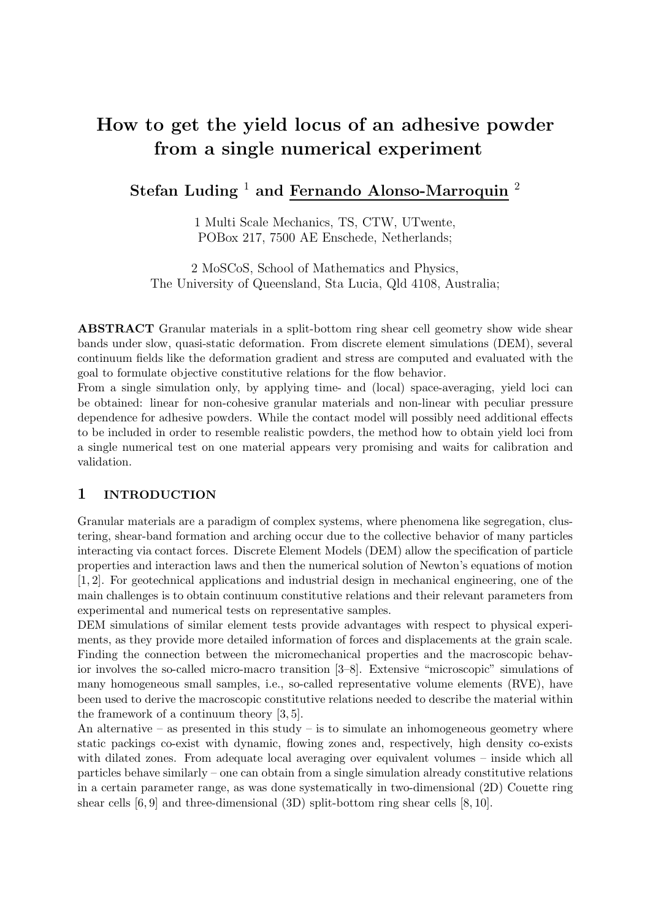# How to get the yield locus of an adhesive powder from a single numerical experiment

## Stefan Luding  $^1$  and Fernando Alonso-Marroquin  $^2$

1 Multi Scale Mechanics, TS, CTW, UTwente, POBox 217, 7500 AE Enschede, Netherlands;

2 MoSCoS, School of Mathematics and Physics, The University of Queensland, Sta Lucia, Qld 4108, Australia;

ABSTRACT Granular materials in a split-bottom ring shear cell geometry show wide shear bands under slow, quasi-static deformation. From discrete element simulations (DEM), several continuum fields like the deformation gradient and stress are computed and evaluated with the goal to formulate objective constitutive relations for the flow behavior.

From a single simulation only, by applying time- and (local) space-averaging, yield loci can be obtained: linear for non-cohesive granular materials and non-linear with peculiar pressure dependence for adhesive powders. While the contact model will possibly need additional effects to be included in order to resemble realistic powders, the method how to obtain yield loci from a single numerical test on one material appears very promising and waits for calibration and validation.

#### 1 INTRODUCTION

Granular materials are a paradigm of complex systems, where phenomena like segregation, clustering, shear-band formation and arching occur due to the collective behavior of many particles interacting via contact forces. Discrete Element Models (DEM) allow the specification of particle properties and interaction laws and then the numerical solution of Newton's equations of motion [1, 2]. For geotechnical applications and industrial design in mechanical engineering, one of the main challenges is to obtain continuum constitutive relations and their relevant parameters from experimental and numerical tests on representative samples.

DEM simulations of similar element tests provide advantages with respect to physical experiments, as they provide more detailed information of forces and displacements at the grain scale. Finding the connection between the micromechanical properties and the macroscopic behavior involves the so-called micro-macro transition [3–8]. Extensive "microscopic" simulations of many homogeneous small samples, i.e., so-called representative volume elements (RVE), have been used to derive the macroscopic constitutive relations needed to describe the material within the framework of a continuum theory [3, 5].

An alternative – as presented in this study – is to simulate an inhomogeneous geometry where static packings co-exist with dynamic, flowing zones and, respectively, high density co-exists with dilated zones. From adequate local averaging over equivalent volumes – inside which all particles behave similarly – one can obtain from a single simulation already constitutive relations in a certain parameter range, as was done systematically in two-dimensional (2D) Couette ring shear cells [6, 9] and three-dimensional (3D) split-bottom ring shear cells [8, 10].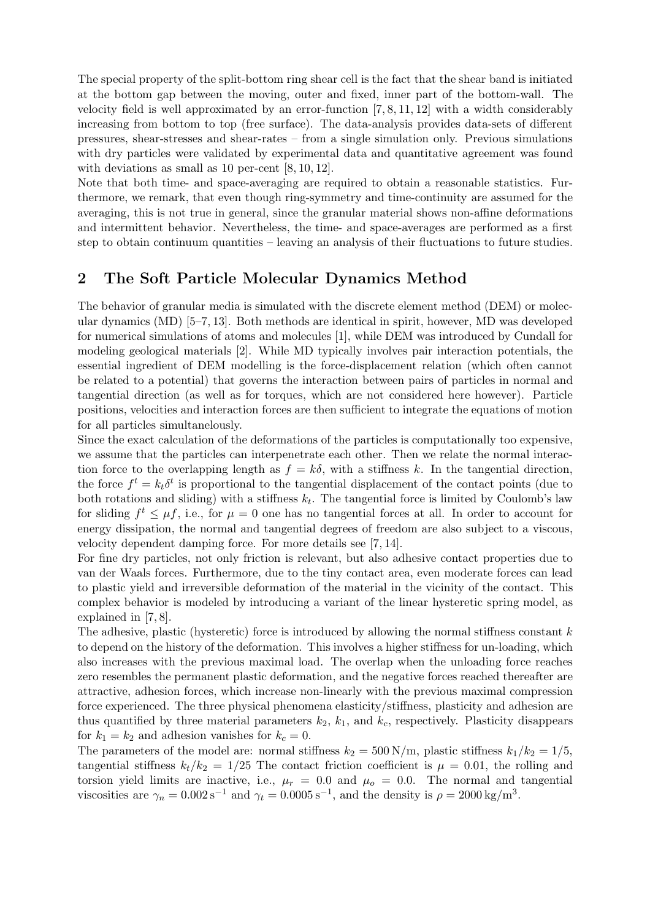The special property of the split-bottom ring shear cell is the fact that the shear band is initiated at the bottom gap between the moving, outer and fixed, inner part of the bottom-wall. The velocity field is well approximated by an error-function [7, 8, 11, 12] with a width considerably increasing from bottom to top (free surface). The data-analysis provides data-sets of different pressures, shear-stresses and shear-rates – from a single simulation only. Previous simulations with dry particles were validated by experimental data and quantitative agreement was found with deviations as small as 10 per-cent [8, 10, 12].

Note that both time- and space-averaging are required to obtain a reasonable statistics. Furthermore, we remark, that even though ring-symmetry and time-continuity are assumed for the averaging, this is not true in general, since the granular material shows non-affine deformations and intermittent behavior. Nevertheless, the time- and space-averages are performed as a first step to obtain continuum quantities – leaving an analysis of their fluctuations to future studies.

#### 2 The Soft Particle Molecular Dynamics Method

The behavior of granular media is simulated with the discrete element method (DEM) or molecular dynamics (MD) [5–7, 13]. Both methods are identical in spirit, however, MD was developed for numerical simulations of atoms and molecules [1], while DEM was introduced by Cundall for modeling geological materials [2]. While MD typically involves pair interaction potentials, the essential ingredient of DEM modelling is the force-displacement relation (which often cannot be related to a potential) that governs the interaction between pairs of particles in normal and tangential direction (as well as for torques, which are not considered here however). Particle positions, velocities and interaction forces are then sufficient to integrate the equations of motion for all particles simultanelously.

Since the exact calculation of the deformations of the particles is computationally too expensive, we assume that the particles can interpenetrate each other. Then we relate the normal interaction force to the overlapping length as  $f = k\delta$ , with a stiffness k. In the tangential direction, the force  $f^t = k_t \delta^t$  is proportional to the tangential displacement of the contact points (due to both rotations and sliding) with a stiffness  $k_t$ . The tangential force is limited by Coulomb's law for sliding  $f^t \leq \mu f$ , i.e., for  $\mu = 0$  one has no tangential forces at all. In order to account for energy dissipation, the normal and tangential degrees of freedom are also subject to a viscous, velocity dependent damping force. For more details see [7, 14].

For fine dry particles, not only friction is relevant, but also adhesive contact properties due to van der Waals forces. Furthermore, due to the tiny contact area, even moderate forces can lead to plastic yield and irreversible deformation of the material in the vicinity of the contact. This complex behavior is modeled by introducing a variant of the linear hysteretic spring model, as explained in [7, 8].

The adhesive, plastic (hysteretic) force is introduced by allowing the normal stiffness constant  $k$ to depend on the history of the deformation. This involves a higher stiffness for un-loading, which also increases with the previous maximal load. The overlap when the unloading force reaches zero resembles the permanent plastic deformation, and the negative forces reached thereafter are attractive, adhesion forces, which increase non-linearly with the previous maximal compression force experienced. The three physical phenomena elasticity/stiffness, plasticity and adhesion are thus quantified by three material parameters  $k_2$ ,  $k_1$ , and  $k_c$ , respectively. Plasticity disappears for  $k_1 = k_2$  and adhesion vanishes for  $k_c = 0$ .

The parameters of the model are: normal stiffness  $k_2 = 500 \text{ N/m}$ , plastic stiffness  $k_1/k_2 = 1/5$ , tangential stiffness  $k_t/k_2 = 1/25$  The contact friction coefficient is  $\mu = 0.01$ , the rolling and torsion yield limits are inactive, i.e.,  $\mu_r = 0.0$  and  $\mu_o = 0.0$ . The normal and tangential viscosities are  $\gamma_n = 0.002 \,\mathrm{s}^{-1}$  and  $\gamma_t = 0.0005 \,\mathrm{s}^{-1}$ , and the density is  $\rho = 2000 \,\mathrm{kg/m^3}$ .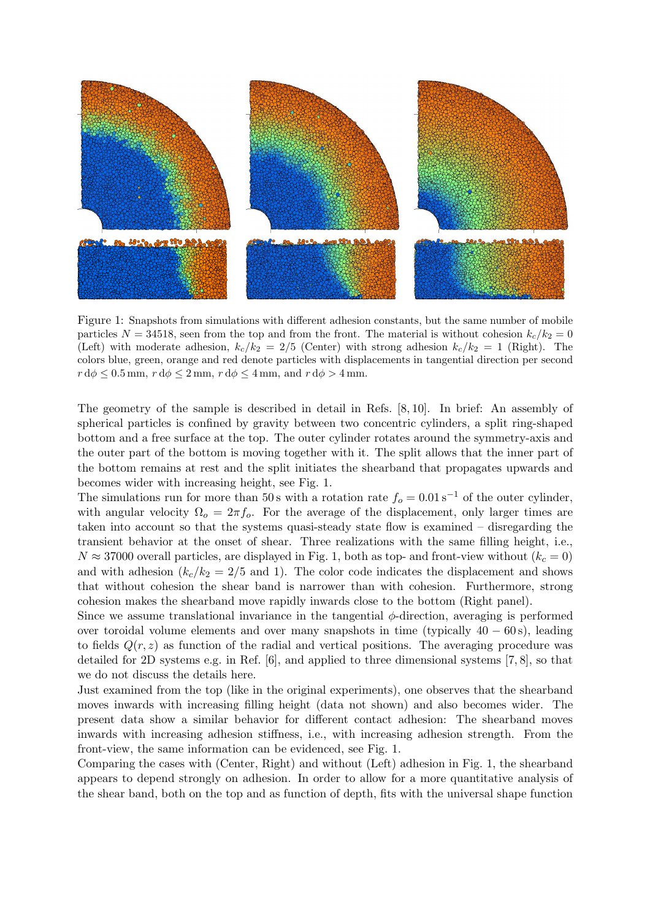

Figure 1: Snapshots from simulations with different adhesion constants, but the same number of mobile particles  $N = 34518$ , seen from the top and from the front. The material is without cohesion  $k_c/k_2 = 0$ (Left) with moderate adhesion,  $k_c/k_2 = 2/5$  (Center) with strong adhesion  $k_c/k_2 = 1$  (Right). The colors blue, green, orange and red denote particles with displacements in tangential direction per second  $r \, d\phi \leq 0.5 \,\mathrm{mm}$ ,  $r \, d\phi \leq 2 \,\mathrm{mm}$ ,  $r \, d\phi \leq 4 \,\mathrm{mm}$ , and  $r \, d\phi > 4 \,\mathrm{mm}$ .

The geometry of the sample is described in detail in Refs. [8, 10]. In brief: An assembly of spherical particles is confined by gravity between two concentric cylinders, a split ring-shaped bottom and a free surface at the top. The outer cylinder rotates around the symmetry-axis and the outer part of the bottom is moving together with it. The split allows that the inner part of the bottom remains at rest and the split initiates the shearband that propagates upwards and becomes wider with increasing height, see Fig. 1.

The simulations run for more than 50 s with a rotation rate  $f_0 = 0.01 \text{ s}^{-1}$  of the outer cylinder, with angular velocity  $\Omega_o = 2\pi f_o$ . For the average of the displacement, only larger times are taken into account so that the systems quasi-steady state flow is examined – disregarding the transient behavior at the onset of shear. Three realizations with the same filling height, i.e.,  $N \approx 37000$  overall particles, are displayed in Fig. 1, both as top- and front-view without  $(k_c = 0)$ and with adhesion  $(k_c/k_2 = 2/5$  and 1). The color code indicates the displacement and shows that without cohesion the shear band is narrower than with cohesion. Furthermore, strong cohesion makes the shearband move rapidly inwards close to the bottom (Right panel).

Since we assume translational invariance in the tangential  $\phi$ -direction, averaging is performed over toroidal volume elements and over many snapshots in time (typically  $40 - 60$  s), leading to fields  $Q(r, z)$  as function of the radial and vertical positions. The averaging procedure was detailed for 2D systems e.g. in Ref. [6], and applied to three dimensional systems [7, 8], so that we do not discuss the details here.

Just examined from the top (like in the original experiments), one observes that the shearband moves inwards with increasing filling height (data not shown) and also becomes wider. The present data show a similar behavior for different contact adhesion: The shearband moves inwards with increasing adhesion stiffness, i.e., with increasing adhesion strength. From the front-view, the same information can be evidenced, see Fig. 1.

Comparing the cases with (Center, Right) and without (Left) adhesion in Fig. 1, the shearband appears to depend strongly on adhesion. In order to allow for a more quantitative analysis of the shear band, both on the top and as function of depth, fits with the universal shape function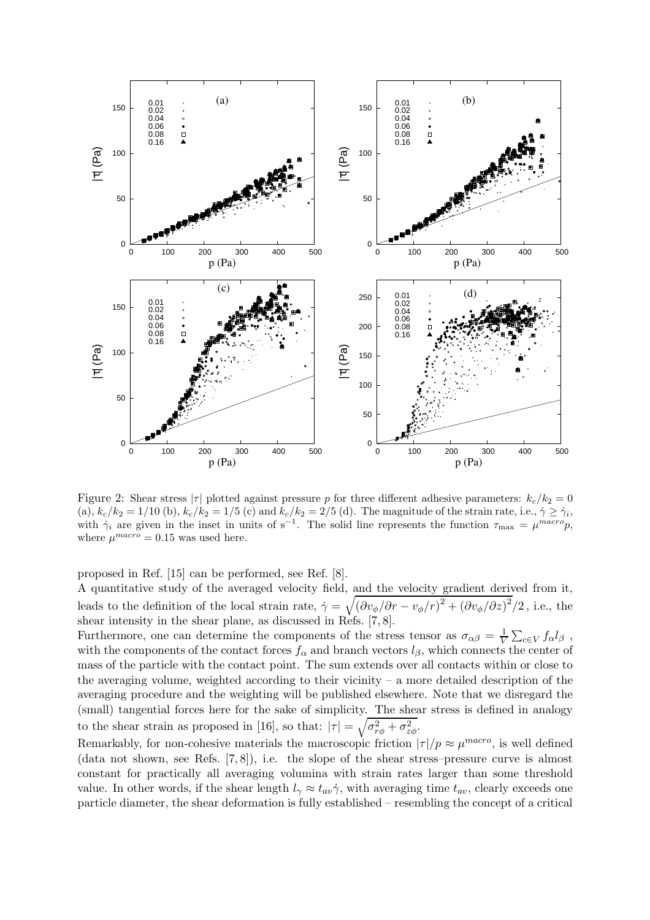

Figure 2: Shear stress  $|\tau|$  plotted against pressure p for three different adhesive parameters:  $k_c/k_2 = 0$ (a),  $k_c/k_2 = 1/10$  (b),  $k_c/k_2 = 1/5$  (c) and  $k_c/k_2 = 2/5$  (d). The magnitude of the strain rate, i.e.,  $\dot{\gamma} \ge \dot{\gamma}_i$ , with  $\gamma_i$  are given in the inset in units of s<sup>-1</sup>. The solid line represents the function  $\tau_{\text{max}} = \mu^{macro} p$ , where  $\mu^{macro} = 0.15$  was used here.

proposed in Ref. [15] can be performed, see Ref. [8].

A quantitative study of the averaged velocity field, and the velocity gradient derived from it, leads to the definition of the local strain rate,  $\dot{\gamma} = \sqrt{(\partial v_\phi/\partial r - v_\phi/r)^2 + (\partial v_\phi/\partial z)^2}/2$ , i.e., the shear intensity in the shear plane, as discussed in Refs. [7, 8].

Furthermore, one can determine the components of the stress tensor as  $\sigma_{\alpha\beta} = \frac{1}{V}$  $\frac{1}{V}\sum_{c\in V}f_{\alpha}l_{\beta}$  , with the components of the contact forces  $f_{\alpha}$  and branch vectors  $l_{\beta}$ , which connects the center of mass of the particle with the contact point. The sum extends over all contacts within or close to the averaging volume, weighted according to their vicinity – a more detailed description of the averaging procedure and the weighting will be published elsewhere. Note that we disregard the (small) tangential forces here for the sake of simplicity. The shear stress is defined in analogy to the shear strain as proposed in [16], so that:  $|\tau| = \sqrt{\sigma_{r\phi}^2 + \sigma_{z\phi}^2}$ .

Remarkably, for non-cohesive materials the macroscopic friction  $|\tau|/p \approx \mu^{macro}$ , is well defined (data not shown, see Refs.  $(7, 8)$ ), i.e. the slope of the shear stress–pressure curve is almost constant for practically all averaging volumina with strain rates larger than some threshold value. In other words, if the shear length  $l_{\gamma} \approx t_{av} \dot{\gamma}$ , with averaging time  $t_{av}$ , clearly exceeds one particle diameter, the shear deformation is fully established – resembling the concept of a critical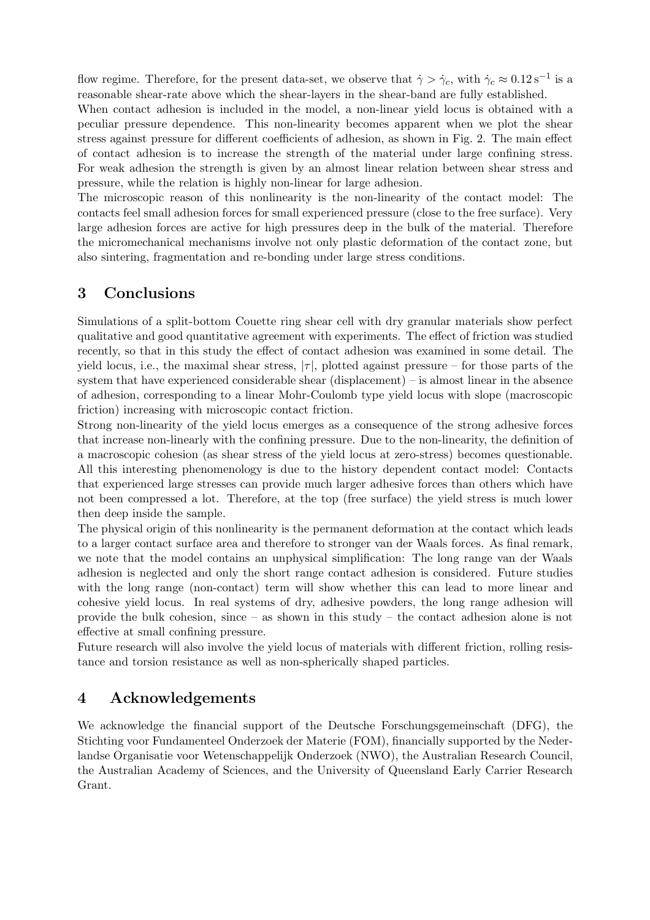flow regime. Therefore, for the present data-set, we observe that  $\dot{\gamma} > \dot{\gamma}_c$ , with  $\dot{\gamma}_c \approx 0.12 \text{ s}^{-1}$  is a reasonable shear-rate above which the shear-layers in the shear-band are fully established.

When contact adhesion is included in the model, a non-linear yield locus is obtained with a peculiar pressure dependence. This non-linearity becomes apparent when we plot the shear stress against pressure for different coefficients of adhesion, as shown in Fig. 2. The main effect of contact adhesion is to increase the strength of the material under large confining stress. For weak adhesion the strength is given by an almost linear relation between shear stress and pressure, while the relation is highly non-linear for large adhesion.

The microscopic reason of this nonlinearity is the non-linearity of the contact model: The contacts feel small adhesion forces for small experienced pressure (close to the free surface). Very large adhesion forces are active for high pressures deep in the bulk of the material. Therefore the micromechanical mechanisms involve not only plastic deformation of the contact zone, but also sintering, fragmentation and re-bonding under large stress conditions.

## 3 Conclusions

Simulations of a split-bottom Couette ring shear cell with dry granular materials show perfect qualitative and good quantitative agreement with experiments. The effect of friction was studied recently, so that in this study the effect of contact adhesion was examined in some detail. The yield locus, i.e., the maximal shear stress,  $|\tau|$ , plotted against pressure – for those parts of the system that have experienced considerable shear (displacement) – is almost linear in the absence of adhesion, corresponding to a linear Mohr-Coulomb type yield locus with slope (macroscopic friction) increasing with microscopic contact friction.

Strong non-linearity of the yield locus emerges as a consequence of the strong adhesive forces that increase non-linearly with the confining pressure. Due to the non-linearity, the definition of a macroscopic cohesion (as shear stress of the yield locus at zero-stress) becomes questionable. All this interesting phenomenology is due to the history dependent contact model: Contacts that experienced large stresses can provide much larger adhesive forces than others which have not been compressed a lot. Therefore, at the top (free surface) the yield stress is much lower then deep inside the sample.

The physical origin of this nonlinearity is the permanent deformation at the contact which leads to a larger contact surface area and therefore to stronger van der Waals forces. As final remark, we note that the model contains an unphysical simplification: The long range van der Waals adhesion is neglected and only the short range contact adhesion is considered. Future studies with the long range (non-contact) term will show whether this can lead to more linear and cohesive yield locus. In real systems of dry, adhesive powders, the long range adhesion will provide the bulk cohesion, since – as shown in this study – the contact adhesion alone is not effective at small confining pressure.

Future research will also involve the yield locus of materials with different friction, rolling resistance and torsion resistance as well as non-spherically shaped particles.

## 4 Acknowledgements

We acknowledge the financial support of the Deutsche Forschungsgemeinschaft (DFG), the Stichting voor Fundamenteel Onderzoek der Materie (FOM), financially supported by the Nederlandse Organisatie voor Wetenschappelijk Onderzoek (NWO), the Australian Research Council, the Australian Academy of Sciences, and the University of Queensland Early Carrier Research Grant.